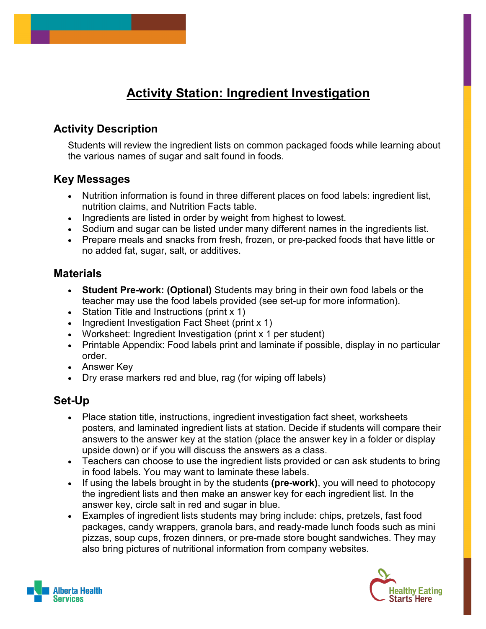#### **Activity Station: Ingredient Investigation**

#### **Activity Description**

Students will review the ingredient lists on common packaged foods while learning about the various names of sugar and salt found in foods.

#### **Key Messages**

- Nutrition information is found in three different places on food labels: ingredient list, nutrition claims, and Nutrition Facts table.
- Ingredients are listed in order by weight from highest to lowest.
- Sodium and sugar can be listed under many different names in the ingredients list.
- Prepare meals and snacks from fresh, frozen, or pre-packed foods that have little or no added fat, sugar, salt, or additives.

#### **Materials**

- **Student Pre-work: (Optional)** Students may bring in their own food labels or the teacher may use the food labels provided (see set-up for more information).
- Station Title and Instructions (print x 1)
- Ingredient Investigation Fact Sheet (print x 1)
- Worksheet: Ingredient Investigation (print x 1 per student)
- Printable Appendix: Food labels print and laminate if possible, display in no particular order.
- Answer Key
- Dry erase markers red and blue, rag (for wiping off labels)

#### **Set-Up**

- Place station title, instructions, ingredient investigation fact sheet, worksheets posters, and laminated ingredient lists at station. Decide if students will compare their answers to the answer key at the station (place the answer key in a folder or display upside down) or if you will discuss the answers as a class.
- Teachers can choose to use the ingredient lists provided or can ask students to bring in food labels. You may want to laminate these labels.
- If using the labels brought in by the students **(pre-work)**, you will need to photocopy the ingredient lists and then make an answer key for each ingredient list. In the answer key, circle salt in red and sugar in blue.
- Examples of ingredient lists students may bring include: chips, pretzels, fast food packages, candy wrappers, granola bars, and ready-made lunch foods such as mini pizzas, soup cups, frozen dinners, or pre-made store bought sandwiches. They may also bring pictures of nutritional information from company websites.



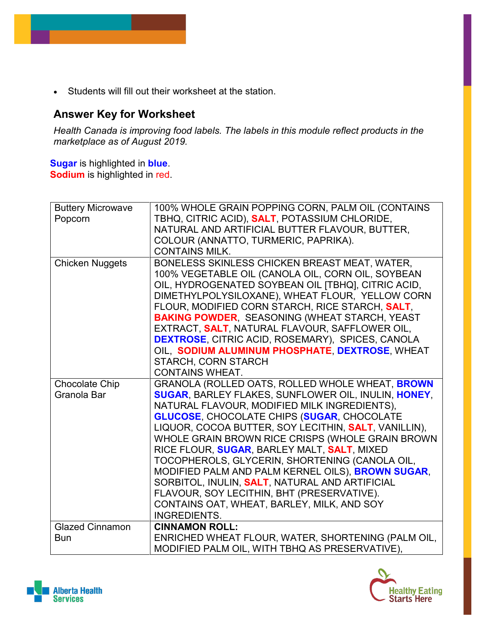• Students will fill out their worksheet at the station.

#### **Answer Key for Worksheet**

*Health Canada is improving food labels. The labels in this module reflect products in the marketplace as of August 2019.* 

**Sugar** is highlighted in **blue**. **Sodium** is highlighted in red.

| <b>Buttery Microwave</b> | 100% WHOLE GRAIN POPPING CORN, PALM OIL (CONTAINS            |
|--------------------------|--------------------------------------------------------------|
| Popcorn                  | TBHQ, CITRIC ACID), SALT, POTASSIUM CHLORIDE,                |
|                          | NATURAL AND ARTIFICIAL BUTTER FLAVOUR, BUTTER,               |
|                          | COLOUR (ANNATTO, TURMERIC, PAPRIKA).                         |
|                          | <b>CONTAINS MILK.</b>                                        |
| <b>Chicken Nuggets</b>   | BONELESS SKINLESS CHICKEN BREAST MEAT, WATER,                |
|                          | 100% VEGETABLE OIL (CANOLA OIL, CORN OIL, SOYBEAN            |
|                          | OIL, HYDROGENATED SOYBEAN OIL [TBHQ], CITRIC ACID,           |
|                          | DIMETHYLPOLYSILOXANE), WHEAT FLOUR, YELLOW CORN              |
|                          | FLOUR, MODIFIED CORN STARCH, RICE STARCH, SALT,              |
|                          | <b>BAKING POWDER, SEASONING (WHEAT STARCH, YEAST</b>         |
|                          | EXTRACT, SALT, NATURAL FLAVOUR, SAFFLOWER OIL,               |
|                          | <b>DEXTROSE, CITRIC ACID, ROSEMARY), SPICES, CANOLA</b>      |
|                          | OIL, SODIUM ALUMINUM PHOSPHATE, DEXTROSE, WHEAT              |
|                          | <b>STARCH, CORN STARCH</b>                                   |
|                          | <b>CONTAINS WHEAT.</b>                                       |
| <b>Chocolate Chip</b>    | GRANOLA (ROLLED OATS, ROLLED WHOLE WHEAT, BROWN              |
| Granola Bar              | <b>SUGAR, BARLEY FLAKES, SUNFLOWER OIL, INULIN, HONEY,</b>   |
|                          | NATURAL FLAVOUR, MODIFIED MILK INGREDIENTS),                 |
|                          | <b>GLUCOSE, CHOCOLATE CHIPS (SUGAR, CHOCOLATE</b>            |
|                          | LIQUOR, COCOA BUTTER, SOY LECITHIN, <b>SALT</b> , VANILLIN), |
|                          | WHOLE GRAIN BROWN RICE CRISPS (WHOLE GRAIN BROWN             |
|                          | RICE FLOUR, SUGAR, BARLEY MALT, SALT, MIXED                  |
|                          | TOCOPHEROLS, GLYCERIN, SHORTENING (CANOLA OIL,               |
|                          | MODIFIED PALM AND PALM KERNEL OILS), BROWN SUGAR,            |
|                          | SORBITOL, INULIN, <b>SALT</b> , NATURAL AND ARTIFICIAL       |
|                          | FLAVOUR, SOY LECITHIN, BHT (PRESERVATIVE).                   |
|                          | CONTAINS OAT, WHEAT, BARLEY, MILK, AND SOY                   |
|                          | <b>INGREDIENTS.</b>                                          |
| <b>Glazed Cinnamon</b>   | <b>CINNAMON ROLL:</b>                                        |
| <b>Bun</b>               | ENRICHED WHEAT FLOUR, WATER, SHORTENING (PALM OIL,           |
|                          | MODIFIED PALM OIL, WITH TBHQ AS PRESERVATIVE),               |



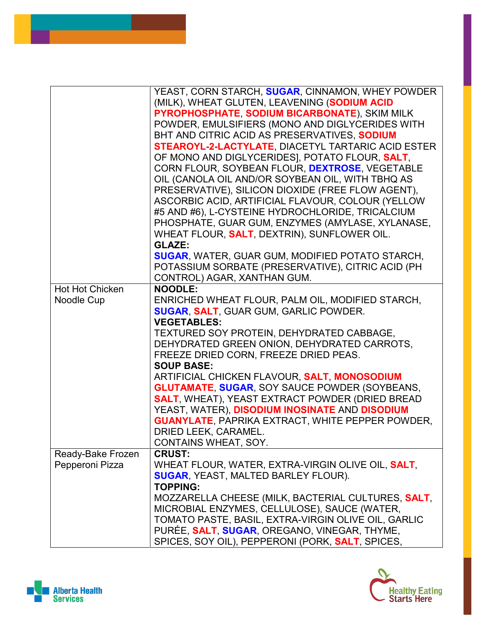|                                      | YEAST, CORN STARCH, SUGAR, CINNAMON, WHEY POWDER<br>(MILK), WHEAT GLUTEN, LEAVENING (SODIUM ACID<br>PYROPHOSPHATE, SODIUM BICARBONATE), SKIM MILK<br>POWDER, EMULSIFIERS (MONO AND DIGLYCERIDES WITH<br>BHT AND CITRIC ACID AS PRESERVATIVES, SODIUM<br><b>STEAROYL-2-LACTYLATE, DIACETYL TARTARIC ACID ESTER</b><br>OF MONO AND DIGLYCERIDES], POTATO FLOUR, SALT,<br>CORN FLOUR, SOYBEAN FLOUR, DEXTROSE, VEGETABLE<br>OIL (CANOLA OIL AND/OR SOYBEAN OIL, WITH TBHQ AS<br>PRESERVATIVE), SILICON DIOXIDE (FREE FLOW AGENT),<br>ASCORBIC ACID, ARTIFICIAL FLAVOUR, COLOUR (YELLOW<br>#5 AND #6), L-CYSTEINE HYDROCHLORIDE, TRICALCIUM<br>PHOSPHATE, GUAR GUM, ENZYMES (AMYLASE, XYLANASE,<br>WHEAT FLOUR, <b>SALT</b> , DEXTRIN), SUNFLOWER OIL.<br><b>GLAZE:</b> |
|--------------------------------------|---------------------------------------------------------------------------------------------------------------------------------------------------------------------------------------------------------------------------------------------------------------------------------------------------------------------------------------------------------------------------------------------------------------------------------------------------------------------------------------------------------------------------------------------------------------------------------------------------------------------------------------------------------------------------------------------------------------------------------------------------------------------|
|                                      | <b>SUGAR, WATER, GUAR GUM, MODIFIED POTATO STARCH,</b><br>POTASSIUM SORBATE (PRESERVATIVE), CITRIC ACID (PH<br>CONTROL) AGAR, XANTHAN GUM.                                                                                                                                                                                                                                                                                                                                                                                                                                                                                                                                                                                                                          |
| Hot Hot Chicken<br>Noodle Cup        | <b>NOODLE:</b><br>ENRICHED WHEAT FLOUR, PALM OIL, MODIFIED STARCH,<br><b>SUGAR, SALT, GUAR GUM, GARLIC POWDER.</b><br><b>VEGETABLES:</b><br>TEXTURED SOY PROTEIN, DEHYDRATED CABBAGE,<br>DEHYDRATED GREEN ONION, DEHYDRATED CARROTS,<br>FREEZE DRIED CORN, FREEZE DRIED PEAS.<br><b>SOUP BASE:</b><br>ARTIFICIAL CHICKEN FLAVOUR, SALT, MONOSODIUM<br><b>GLUTAMATE, SUGAR, SOY SAUCE POWDER (SOYBEANS,</b><br><b>SALT, WHEAT), YEAST EXTRACT POWDER (DRIED BREAD</b><br>YEAST, WATER), DISODIUM INOSINATE AND DISODIUM<br><b>GUANYLATE, PAPRIKA EXTRACT, WHITE PEPPER POWDER,</b><br>DRIED LEEK, CARAMEL.<br>CONTAINS WHEAT, SOY.                                                                                                                                   |
| Ready-Bake Frozen<br>Pepperoni Pizza | <b>CRUST:</b><br>WHEAT FLOUR, WATER, EXTRA-VIRGIN OLIVE OIL, <b>SALT</b> ,<br><b>SUGAR, YEAST, MALTED BARLEY FLOUR).</b><br><b>TOPPING:</b><br>MOZZARELLA CHEESE (MILK, BACTERIAL CULTURES, SALT,<br>MICROBIAL ENZYMES, CELLULOSE), SAUCE (WATER,<br>TOMATO PASTE, BASIL, EXTRA-VIRGIN OLIVE OIL, GARLIC<br>PURÉE, SALT, SUGAR, OREGANO, VINEGAR, THYME,<br>SPICES, SOY OIL), PEPPERONI (PORK, SALT, SPICES,                                                                                                                                                                                                                                                                                                                                                        |



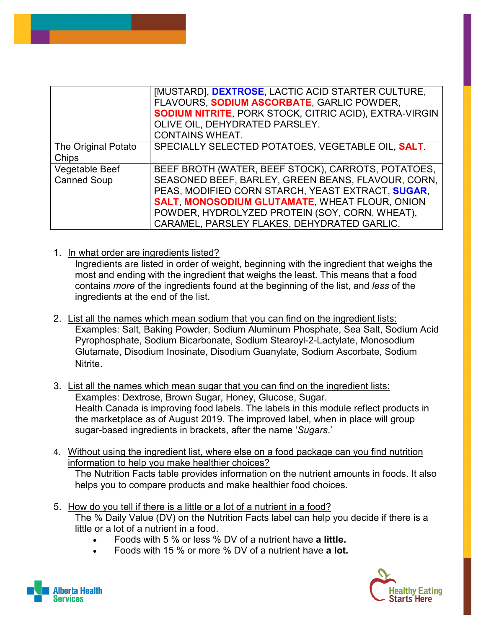|                     | [MUSTARD], DEXTROSE, LACTIC ACID STARTER CULTURE,             |
|---------------------|---------------------------------------------------------------|
|                     | FLAVOURS, SODIUM ASCORBATE, GARLIC POWDER,                    |
|                     | <b>SODIUM NITRITE, PORK STOCK, CITRIC ACID), EXTRA-VIRGIN</b> |
|                     | OLIVE OIL, DEHYDRATED PARSLEY.                                |
|                     | <b>CONTAINS WHEAT.</b>                                        |
| The Original Potato | SPECIALLY SELECTED POTATOES, VEGETABLE OIL, SALT.             |
| Chips               |                                                               |
| Vegetable Beef      | BEEF BROTH (WATER, BEEF STOCK), CARROTS, POTATOES,            |
| <b>Canned Soup</b>  | SEASONED BEEF, BARLEY, GREEN BEANS, FLAVOUR, CORN,            |
|                     | PEAS, MODIFIED CORN STARCH, YEAST EXTRACT, SUGAR,             |
|                     | <b>SALT, MONOSODIUM GLUTAMATE, WHEAT FLOUR, ONION</b>         |
|                     | POWDER, HYDROLYZED PROTEIN (SOY, CORN, WHEAT),                |
|                     | CARAMEL, PARSLEY FLAKES, DEHYDRATED GARLIC.                   |

1. In what order are ingredients listed?

Ingredients are listed in order of weight, beginning with the ingredient that weighs the most and ending with the ingredient that weighs the least. This means that a food contains *more* of the ingredients found at the beginning of the list, and *less* of the ingredients at the end of the list.

- 2. List all the names which mean sodium that you can find on the ingredient lists: Examples: Salt, Baking Powder, Sodium Aluminum Phosphate, Sea Salt, Sodium Acid Pyrophosphate, Sodium Bicarbonate, Sodium Stearoyl-2-Lactylate, Monosodium Glutamate, Disodium Inosinate, Disodium Guanylate, Sodium Ascorbate, Sodium Nitrite.
- 3. List all the names which mean sugar that you can find on the ingredient lists: Examples: Dextrose, Brown Sugar, Honey, Glucose, Sugar. Health Canada is improving food labels. The labels in this module reflect products in the marketplace as of August 2019. The improved label, when in place will group sugar-based ingredients in brackets, after the name '*Sugars*.'
- 4. Without using the ingredient list, where else on a food package can you find nutrition information to help you make healthier choices?

The Nutrition Facts table provides information on the nutrient amounts in foods. It also helps you to compare products and make healthier food choices.

- 5. How do you tell if there is a little or a lot of a nutrient in a food? The % Daily Value (DV) on the Nutrition Facts label can help you decide if there is a little or a lot of a nutrient in a food.
	- Foods with 5 % or less % DV of a nutrient have **a little.**
	- Foods with 15 % or more % DV of a nutrient have **a lot.**



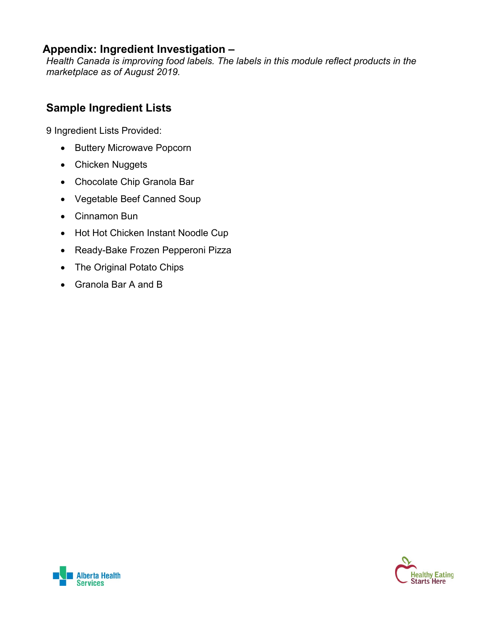#### **Appendix: Ingredient Investigation –**

*Health Canada is improving food labels. The labels in this module reflect products in the marketplace as of August 2019.* 

#### **Sample Ingredient Lists**

9 Ingredient Lists Provided:

- Buttery Microwave Popcorn
- Chicken Nuggets
- Chocolate Chip Granola Bar
- Vegetable Beef Canned Soup
- Cinnamon Bun
- Hot Hot Chicken Instant Noodle Cup
- Ready-Bake Frozen Pepperoni Pizza
- The Original Potato Chips
- Granola Bar A and B



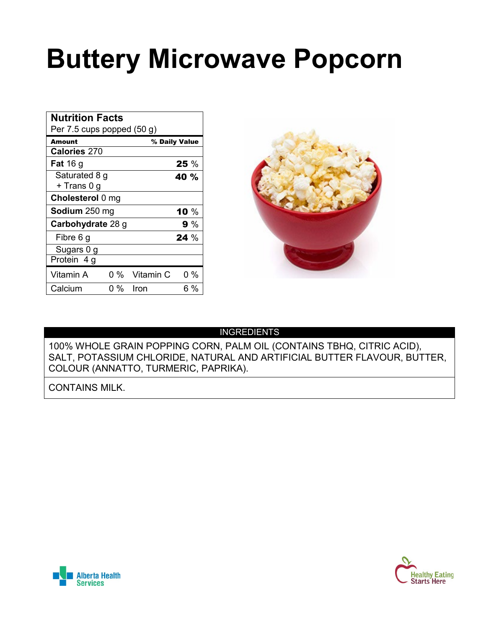## **Buttery Microwave Popcorn**

| <b>Nutrition Facts</b><br>Per $7.5$ cups popped $(50 g)$ |     |               |               |  |
|----------------------------------------------------------|-----|---------------|---------------|--|
| Amount                                                   |     |               | % Daily Value |  |
| <b>Calories 270</b>                                      |     |               |               |  |
| <b>Fat</b> 16 g                                          |     |               | 25%           |  |
| Saturated 8 g                                            |     |               | 40 %          |  |
| + Trans 0 g                                              |     |               |               |  |
| Cholesterol 0 mg                                         |     |               |               |  |
| Sodium 250 mg                                            |     |               | 10 $\%$       |  |
| Carbohydrate 28 g                                        |     |               | 9 %           |  |
| Fibre 6 g                                                |     |               | $24\%$        |  |
| Sugars 0 g                                               |     |               |               |  |
| Protein 4 g                                              |     |               |               |  |
| Vitamin A                                                |     | 0 % Vitamin C | $0\%$         |  |
| Calcium                                                  | 0 % | Iron          | 6 %           |  |



#### INGREDIENTS

100% WHOLE GRAIN POPPING CORN, PALM OIL (CONTAINS TBHQ, CITRIC ACID), SALT, POTASSIUM CHLORIDE, NATURAL AND ARTIFICIAL BUTTER FLAVOUR, BUTTER, COLOUR (ANNATTO, TURMERIC, PAPRIKA).

CONTAINS MILK.



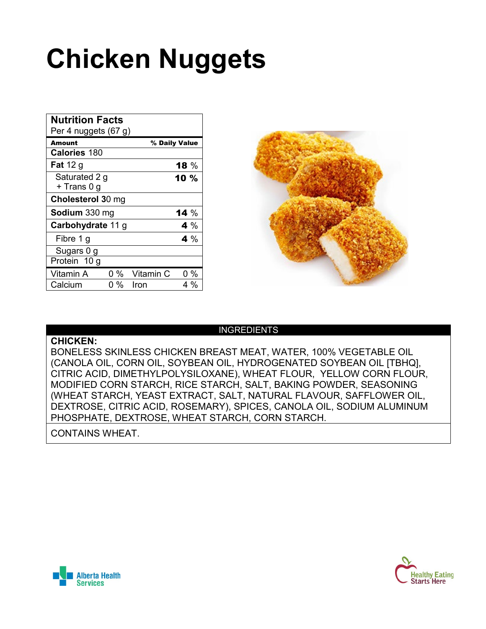## **Chicken Nuggets**

| <b>Nutrition Facts</b><br>Per 4 nuggets (67 g) |     |           |               |
|------------------------------------------------|-----|-----------|---------------|
| Amount                                         |     |           | % Daily Value |
| <b>Calories 180</b>                            |     |           |               |
| <b>Fat</b> 12 g                                |     |           | 18 $%$        |
| Saturated 2 g<br>+ Trans 0 g                   |     |           | 10%           |
| Cholesterol 30 mg                              |     |           |               |
| Sodium 330 mg                                  |     |           | <b>14</b> $%$ |
| Carbohydrate 11 g                              |     |           | 4 %           |
| Fibre 1 g                                      |     |           | 4 %           |
| Sugars 0 g                                     |     |           |               |
| Protein 10 g                                   |     |           |               |
| Vitamin A                                      | 0 % | Vitamin C | $0\%$         |
| Calcium                                        | 0 % | Iron      | 4 %           |



#### INGREDIENTS

**CHICKEN:**

BONELESS SKINLESS CHICKEN BREAST MEAT, WATER, 100% VEGETABLE OIL (CANOLA OIL, CORN OIL, SOYBEAN OIL, HYDROGENATED SOYBEAN OIL [TBHQ], CITRIC ACID, DIMETHYLPOLYSILOXANE), WHEAT FLOUR, YELLOW CORN FLOUR, MODIFIED CORN STARCH, RICE STARCH, SALT, BAKING POWDER, SEASONING (WHEAT STARCH, YEAST EXTRACT, SALT, NATURAL FLAVOUR, SAFFLOWER OIL, DEXTROSE, CITRIC ACID, ROSEMARY), SPICES, CANOLA OIL, SODIUM ALUMINUM PHOSPHATE, DEXTROSE, WHEAT STARCH, CORN STARCH.

CONTAINS WHEAT.



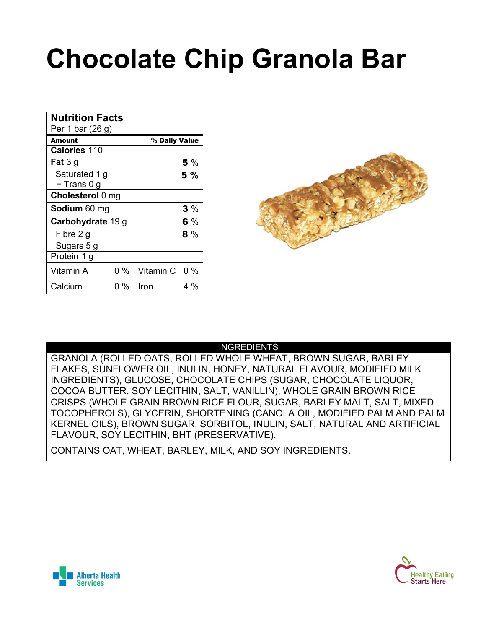## **Chocolate Chip Granola Bar**

| <b>Nutrition Facts</b><br>Per 1 bar (26 g) |     |                   |     |
|--------------------------------------------|-----|-------------------|-----|
| <b>Amount</b>                              |     | % Daily Value     |     |
| <b>Calories 110</b>                        |     |                   |     |
| <b>Fat</b> $3g$                            |     |                   | 5 % |
| Saturated 1 g                              |     |                   | 5 % |
| + Trans 0 g                                |     |                   |     |
| Cholesterol 0 mg                           |     |                   |     |
| Sodium 60 mg                               |     |                   | 3%  |
| Carbohydrate 19 g                          |     |                   | 6 % |
| Fibre 2 g                                  |     |                   | 8 % |
| Sugars 5 g                                 |     |                   |     |
| Protein 1 g                                |     |                   |     |
| Vitamin A                                  |     | 0 % Vitamin C 0 % |     |
| Calcium                                    | 0 % | Iron              | 4 % |



#### INGREDIENTS

GRANOLA (ROLLED OATS, ROLLED WHOLE WHEAT, BROWN SUGAR, BARLEY FLAKES, SUNFLOWER OIL, INULIN, HONEY, NATURAL FLAVOUR, MODIFIED MILK INGREDIENTS), GLUCOSE, CHOCOLATE CHIPS (SUGAR, CHOCOLATE LIQUOR, COCOA BUTTER, SOY LECITHIN, SALT, VANILLIN), WHOLE GRAIN BROWN RICE CRISPS (WHOLE GRAIN BROWN RICE FLOUR, SUGAR, BARLEY MALT, SALT, MIXED TOCOPHEROLS), GLYCERIN, SHORTENING (CANOLA OIL, MODIFIED PALM AND PALM KERNEL OILS), BROWN SUGAR, SORBITOL, INULIN, SALT, NATURAL AND ARTIFICIAL FLAVOUR, SOY LECITHIN, BHT (PRESERVATIVE).

CONTAINS OAT, WHEAT, BARLEY, MILK, AND SOY INGREDIENTS.



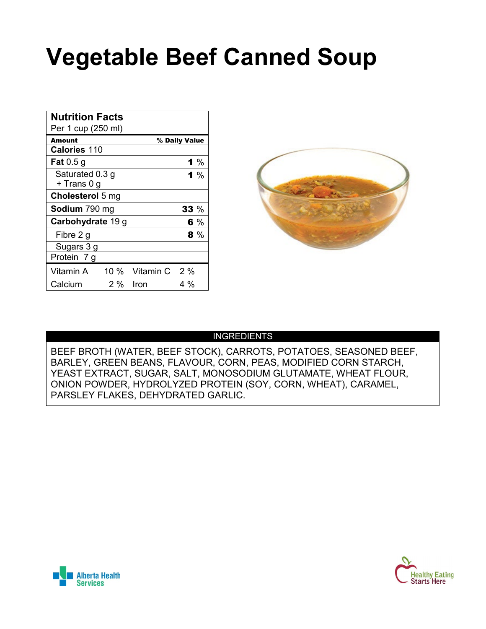### **Vegetable Beef Canned Soup**

| <b>Nutrition Facts</b><br>Per 1 cup (250 ml) |       |                    |               |
|----------------------------------------------|-------|--------------------|---------------|
| <b>Amount</b>                                |       |                    | % Daily Value |
| <b>Calories 110</b>                          |       |                    |               |
| <b>Fat</b> 0.5 g                             |       |                    | 1 %           |
| Saturated 0.3 g                              |       |                    | 1 %           |
| + Trans 0 g                                  |       |                    |               |
| Cholesterol 5 mg                             |       |                    |               |
| <b>Sodium</b> 790 mg                         |       |                    | 33 %          |
| Carbohydrate 19 g                            |       |                    | 6%            |
| Fibre 2 g                                    |       |                    | 8 %           |
| Sugars 3 g                                   |       |                    |               |
| Protein 7 g                                  |       |                    |               |
| Vitamin A                                    |       | 10 % Vitamin C 2 % |               |
| Calcium                                      | $2\%$ | Iron               | 4 %           |



#### INGREDIENTS

BEEF BROTH (WATER, BEEF STOCK), CARROTS, POTATOES, SEASONED BEEF, BARLEY, GREEN BEANS, FLAVOUR, CORN, PEAS, MODIFIED CORN STARCH, YEAST EXTRACT, SUGAR, SALT, MONOSODIUM GLUTAMATE, WHEAT FLOUR, ONION POWDER, HYDROLYZED PROTEIN (SOY, CORN, WHEAT), CARAMEL, PARSLEY FLAKES, DEHYDRATED GARLIC.



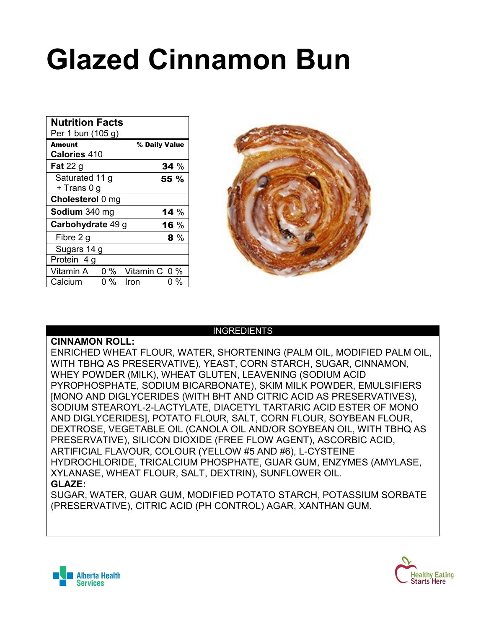## **Glazed Cinnamon Bun**

| <b>Nutrition Facts</b><br>Per 1 bun (105 g) |     |               |               |
|---------------------------------------------|-----|---------------|---------------|
| Amount                                      |     |               | % Daily Value |
| <b>Calories 410</b>                         |     |               |               |
| <b>Fat</b> 22 $g$                           |     |               | 34%           |
| Saturated 11 g                              |     |               | 55 %          |
| + Trans 0 g                                 |     |               |               |
| Cholesterol 0 mg                            |     |               |               |
| <b>Sodium</b> 340 mg                        |     |               | 14 $%$        |
| Carbohydrate 49 g                           |     |               | 16 %          |
| Fibre 2 g                                   |     |               | 8 %           |
| Sugars 14 g                                 |     |               |               |
| Protein 4 g                                 |     |               |               |
| Vitamin A                                   | 0 % | Vitamin C 0 % |               |
| Calcium                                     | 0 % | Iron          | 0 %           |



#### INGREDIENTS

**CINNAMON ROLL:**

ENRICHED WHEAT FLOUR, WATER, SHORTENING (PALM OIL, MODIFIED PALM OIL, WITH TBHQ AS PRESERVATIVE), YEAST, CORN STARCH, SUGAR, CINNAMON, WHEY POWDER (MILK), WHEAT GLUTEN, LEAVENING (SODIUM ACID PYROPHOSPHATE, SODIUM BICARBONATE), SKIM MILK POWDER, EMULSIFIERS [MONO AND DIGLYCERIDES (WITH BHT AND CITRIC ACID AS PRESERVATIVES), SODIUM STEAROYL-2-LACTYLATE, DIACETYL TARTARIC ACID ESTER OF MONO AND DIGLYCERIDES], POTATO FLOUR, SALT, CORN FLOUR, SOYBEAN FLOUR, DEXTROSE, VEGETABLE OIL (CANOLA OIL AND/OR SOYBEAN OIL, WITH TBHQ AS PRESERVATIVE), SILICON DIOXIDE (FREE FLOW AGENT), ASCORBIC ACID, ARTIFICIAL FLAVOUR, COLOUR (YELLOW #5 AND #6), L-CYSTEINE HYDROCHLORIDE, TRICALCIUM PHOSPHATE, GUAR GUM, ENZYMES (AMYLASE, XYLANASE, WHEAT FLOUR, SALT, DEXTRIN), SUNFLOWER OIL. **GLAZE:**

SUGAR, WATER, GUAR GUM, MODIFIED POTATO STARCH, POTASSIUM SORBATE (PRESERVATIVE), CITRIC ACID (PH CONTROL) AGAR, XANTHAN GUM.



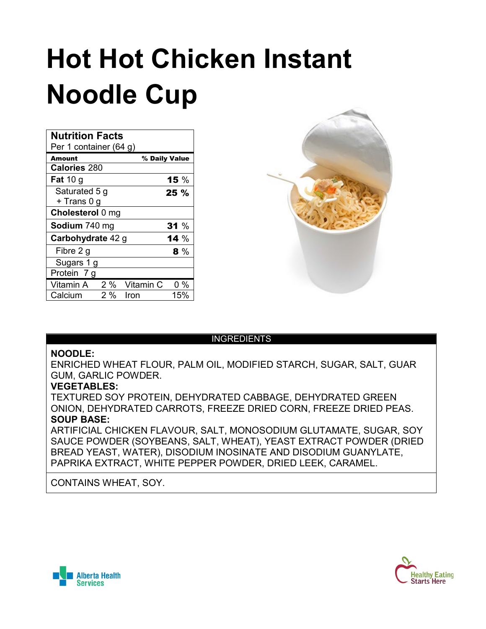## **Hot Hot Chicken Instant Noodle Cup**

| <b>Nutrition Facts</b><br>Per 1 container (64 g) |    |           |               |
|--------------------------------------------------|----|-----------|---------------|
| Amount                                           |    |           | % Daily Value |
| <b>Calories 280</b>                              |    |           |               |
| <b>Fat</b> 10 g                                  |    |           | 15 $%$        |
| Saturated 5 g                                    |    |           | $25 \%$       |
| + Trans 0 g                                      |    |           |               |
| Cholesterol 0 mg                                 |    |           |               |
| Sodium 740 mg                                    |    |           | 31%           |
| Carbohydrate 42 g                                |    |           | 14 $%$        |
| Fibre 2 g                                        |    |           | 8 %           |
| Sugars 1 g                                       |    |           |               |
| Protein 7 g                                      |    |           |               |
| Vitamin A                                        | 2% | Vitamin C | $0\%$         |
| Calcium                                          | 2% | Iron      | 15%           |



#### INGREDIENTS

#### **NOODLE:**

ENRICHED WHEAT FLOUR, PALM OIL, MODIFIED STARCH, SUGAR, SALT, GUAR GUM, GARLIC POWDER.

#### **VEGETABLES:**

TEXTURED SOY PROTEIN, DEHYDRATED CABBAGE, DEHYDRATED GREEN ONION, DEHYDRATED CARROTS, FREEZE DRIED CORN, FREEZE DRIED PEAS. **SOUP BASE:**

ARTIFICIAL CHICKEN FLAVOUR, SALT, MONOSODIUM GLUTAMATE, SUGAR, SOY SAUCE POWDER (SOYBEANS, SALT, WHEAT), YEAST EXTRACT POWDER (DRIED BREAD YEAST, WATER), DISODIUM INOSINATE AND DISODIUM GUANYLATE, PAPRIKA EXTRACT, WHITE PEPPER POWDER, DRIED LEEK, CARAMEL.

#### CONTAINS WHEAT, SOY.



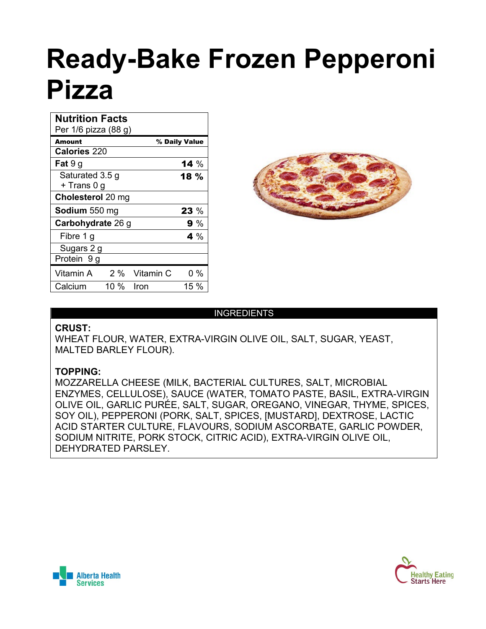## **Ready-Bake Frozen Pepperoni Pizza**

| <b>Nutrition Facts</b><br>Per 1/6 pizza (88 g) |                          |               |               |  |  |
|------------------------------------------------|--------------------------|---------------|---------------|--|--|
| Amount                                         |                          |               | % Daily Value |  |  |
| <b>Calories 220</b>                            |                          |               |               |  |  |
| <b>Fat</b> $9g$                                |                          |               | 14 $%$        |  |  |
| Saturated 3.5 g                                |                          |               | 18 %          |  |  |
| + Trans 0 g                                    |                          |               |               |  |  |
|                                                | <b>Cholesterol</b> 20 mg |               |               |  |  |
| Sodium 550 mg                                  |                          |               | 23 %          |  |  |
| Carbohydrate 26 g                              |                          | 9 %           |               |  |  |
| Fibre 1 g                                      |                          |               | 4 %           |  |  |
| Sugars 2 g                                     |                          |               |               |  |  |
| Protein 9 g                                    |                          |               |               |  |  |
| Vitamin A                                      |                          | 2 % Vitamin C | 0 %           |  |  |
| Calcium                                        | 10 %                     | Iron          | 15 %          |  |  |



#### INGREDIENTS

#### **CRUST:**

WHEAT FLOUR, WATER, EXTRA-VIRGIN OLIVE OIL, SALT, SUGAR, YEAST, MALTED BARLEY FLOUR).

#### **TOPPING:**

MOZZARELLA CHEESE (MILK, BACTERIAL CULTURES, SALT, MICROBIAL ENZYMES, CELLULOSE), SAUCE (WATER, TOMATO PASTE, BASIL, EXTRA-VIRGIN OLIVE OIL, GARLIC PURÉE, SALT, SUGAR, OREGANO, VINEGAR, THYME, SPICES, SOY OIL), PEPPERONI (PORK, SALT, SPICES, [MUSTARD], DEXTROSE, LACTIC ACID STARTER CULTURE, FLAVOURS, SODIUM ASCORBATE, GARLIC POWDER, SODIUM NITRITE, PORK STOCK, CITRIC ACID), EXTRA-VIRGIN OLIVE OIL, DEHYDRATED PARSLEY.



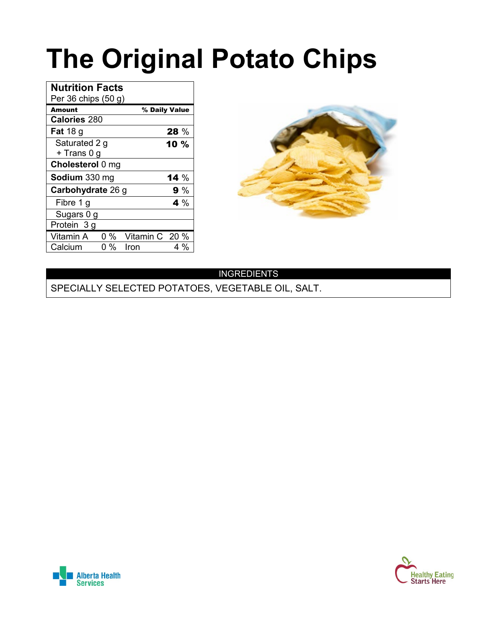## **The Original Potato Chips**

| <b>Nutrition Facts</b> |     |                |               |
|------------------------|-----|----------------|---------------|
| Per 36 chips $(50 g)$  |     |                |               |
| <b>Amount</b>          |     |                | % Daily Value |
| <b>Calories 280</b>    |     |                |               |
| <b>Fat</b> 18 $q$      |     |                | 28%           |
| Saturated 2 g          |     |                | 10 %          |
| + Trans 0 g            |     |                |               |
| Cholesterol 0 mg       |     |                |               |
| Sodium 330 mg          |     |                | 14 $%$        |
| Carbohydrate 26 g      |     |                | 9%            |
| Fibre 1 g              |     |                | 4 %           |
| Sugars 0 g             |     |                |               |
| Protein 3 g            |     |                |               |
| Vitamin A              | 0 % | Vitamin C 20 % |               |
| Calcium                | 0 % | Iron           | 4 %           |



#### INGREDIENTS

SPECIALLY SELECTED POTATOES, VEGETABLE OIL, SALT.



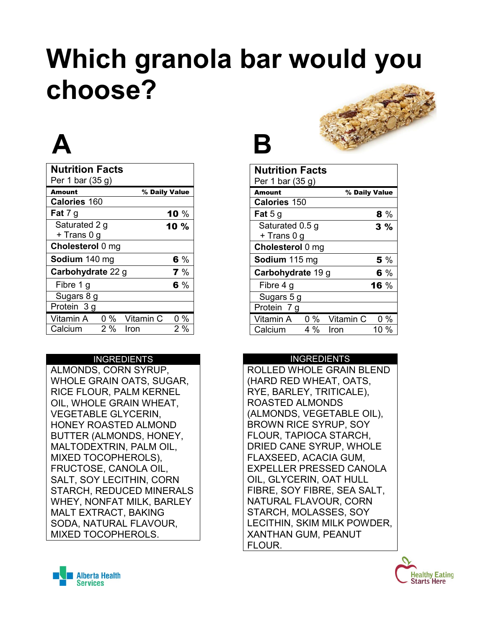## **Which granola bar would you choose?**

## **A B**

| <b>Nutrition Facts</b><br>Per 1 bar (35 g) |       |           |               |
|--------------------------------------------|-------|-----------|---------------|
| <b>Amount</b>                              |       |           | % Daily Value |
| Calories 160                               |       |           |               |
| <b>Fat</b> 7 g                             |       |           | 10 $%$        |
| Saturated 2 g                              |       |           | 10 %          |
| + Trans 0 g                                |       |           |               |
| Cholesterol 0 mg                           |       |           |               |
| Sodium 140 mg                              |       |           | 6%            |
| Carbohydrate 22 g                          |       |           | 7%            |
| Fibre 1 g                                  |       |           | 6 %           |
| Sugars 8 g                                 |       |           |               |
| Protein 3 g                                |       |           |               |
| Vitamin A                                  | $0\%$ | Vitamin C | 0%            |
| Calcium                                    | 2%    | Iron      | 2 %           |

#### INGREDIENTS

ALMONDS, CORN SYRUP, WHOLE GRAIN OATS, SUGAR, RICE FLOUR, PALM KERNEL OIL, WHOLE GRAIN WHEAT, VEGETABLE GLYCERIN, HONEY ROASTED ALMOND BUTTER (ALMONDS, HONEY, MALTODEXTRIN, PALM OIL, MIXED TOCOPHEROLS), FRUCTOSE, CANOLA OIL, SALT, SOY LECITHIN, CORN STARCH, REDUCED MINERALS WHEY, NONFAT MILK, BARLEY MALT EXTRACT, BAKING SODA, NATURAL FLAVOUR, MIXED TOCOPHEROLS.



| <b>Nutrition Facts</b><br>Per 1 bar $(35 g)$ |       |           |               |  |
|----------------------------------------------|-------|-----------|---------------|--|
| Amount                                       |       |           | % Daily Value |  |
| <b>Calories 150</b>                          |       |           |               |  |
| <b>Fat</b> 5 g                               |       |           | 8%            |  |
| Saturated 0.5 g                              |       |           | 3%            |  |
| + Trans 0 g                                  |       |           |               |  |
| Cholesterol 0 mg                             |       |           |               |  |
| Sodium 115 mg                                |       | 5 %       |               |  |
| Carbohydrate 19 g                            |       | 6 %       |               |  |
| Fibre 4 g                                    |       |           | <b>16</b> $%$ |  |
| Sugars 5 g                                   |       |           |               |  |
| Protein 7 g                                  |       |           |               |  |
| Vitamin A                                    | $0\%$ | Vitamin C | 0%            |  |
| Calcium                                      | 4 %   | Iron      | 10 %          |  |

#### INGREDIENTS

ROLLED WHOLE GRAIN BLEND (HARD RED WHEAT, OATS, RYE, BARLEY, TRITICALE), ROASTED ALMONDS (ALMONDS, VEGETABLE OIL), BROWN RICE SYRUP, SOY FLOUR, TAPIOCA STARCH, DRIED CANE SYRUP, WHOLE FLAXSEED, ACACIA GUM, EXPELLER PRESSED CANOLA OIL, GLYCERIN, OAT HULL FIBRE, SOY FIBRE, SEA SALT, NATURAL FLAVOUR, CORN STARCH, MOLASSES, SOY LECITHIN, SKIM MILK POWDER, XANTHAN GUM, PEANUT FLOUR.



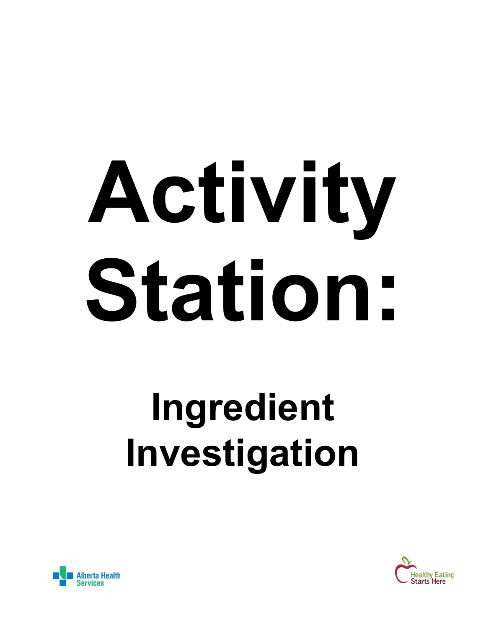# **Activity Station:**

## **Ingredient Investigation**



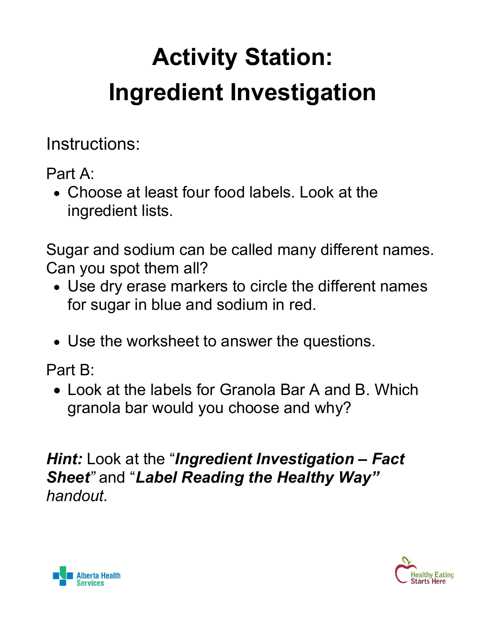## **Activity Station: Ingredient Investigation**

Instructions:

Part A:

• Choose at least four food labels. Look at the ingredient lists.

Sugar and sodium can be called many different names. Can you spot them all?

- Use dry erase markers to circle the different names for sugar in blue and sodium in red.
- Use the worksheet to answer the questions.

Part B:

• Look at the labels for Granola Bar A and B. Which granola bar would you choose and why?

*Hint:* Look at the "*Ingredient Investigation – Fact Sheet"* and "*Label Reading the Healthy Way" handout.*



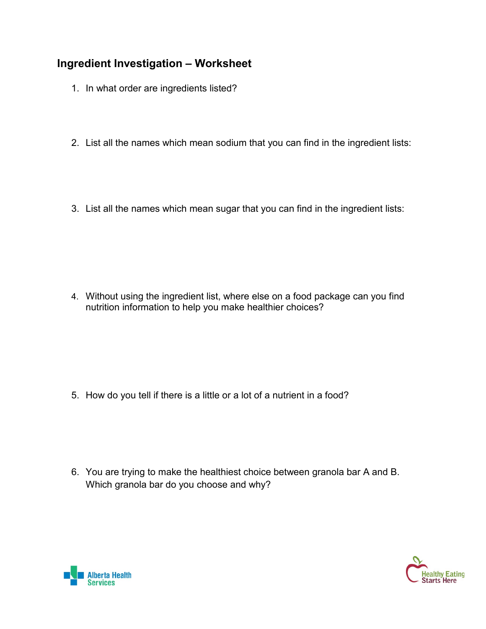#### **Ingredient Investigation – Worksheet**

- 1. In what order are ingredients listed?
- 2. List all the names which mean sodium that you can find in the ingredient lists:
- 3. List all the names which mean sugar that you can find in the ingredient lists:

4. Without using the ingredient list, where else on a food package can you find nutrition information to help you make healthier choices?

5. How do you tell if there is a little or a lot of a nutrient in a food?

6. You are trying to make the healthiest choice between granola bar A and B. Which granola bar do you choose and why?